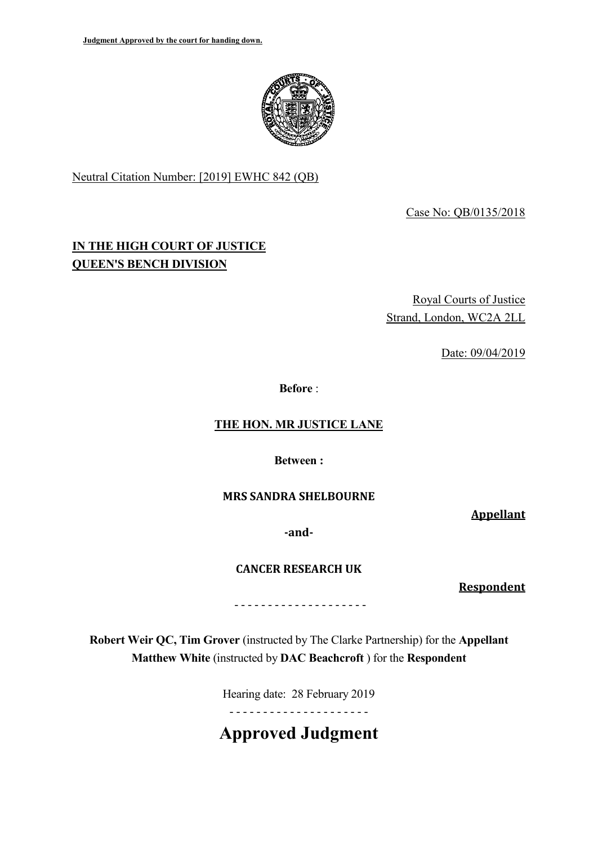

Neutral Citation Number: [2019] EWHC 842 (QB)

Case No: QB/0135/2018

# **IN THE HIGH COURT OF JUSTICE QUEEN'S BENCH DIVISION**

Royal Courts of Justice Strand, London, WC2A 2LL

Date: 09/04/2019

**Before** :

## **THE HON. MR JUSTICE LANE**

**Between :**

### **MRS SANDRA SHELBOURNE**

**Appellant**

**-and-**

**CANCER RESEARCH UK** 

**Respondent**

- - - - - - - - - - - - - - - - - - - -

**Robert Weir QC, Tim Grover** (instructed by The Clarke Partnership) for the **Appellant Matthew White** (instructed by **DAC Beachcroft** ) for the **Respondent**

Hearing date: 28 February 2019

- - - - - - - - - - - - - - - - - - - - -

**Approved Judgment**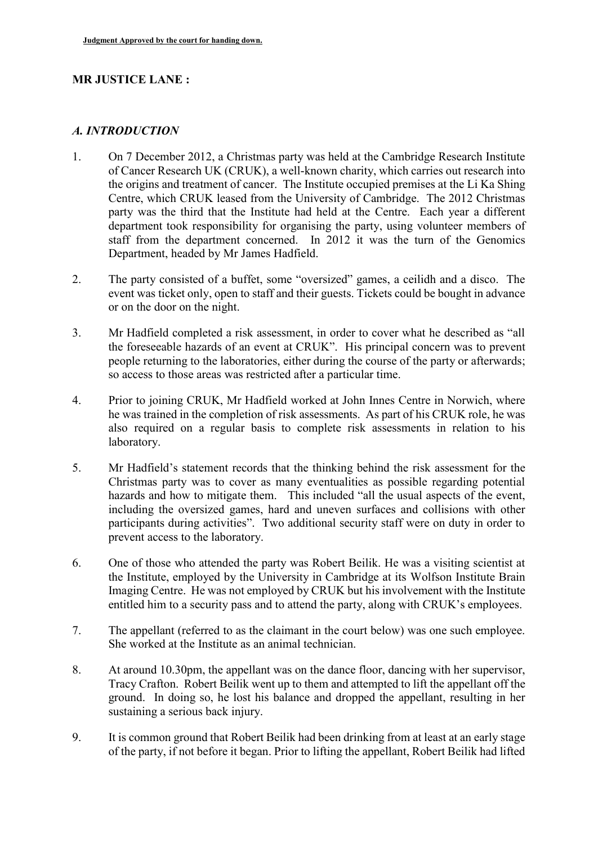### **MR JUSTICE LANE :**

#### *A. INTRODUCTION*

- 1. On 7 December 2012, a Christmas party was held at the Cambridge Research Institute of Cancer Research UK (CRUK), a well-known charity, which carries out research into the origins and treatment of cancer. The Institute occupied premises at the Li Ka Shing Centre, which CRUK leased from the University of Cambridge. The 2012 Christmas party was the third that the Institute had held at the Centre. Each year a different department took responsibility for organising the party, using volunteer members of staff from the department concerned. In 2012 it was the turn of the Genomics Department, headed by Mr James Hadfield.
- 2. The party consisted of a buffet, some "oversized" games, a ceilidh and a disco. The event was ticket only, open to staff and their guests. Tickets could be bought in advance or on the door on the night.
- 3. Mr Hadfield completed a risk assessment, in order to cover what he described as "all the foreseeable hazards of an event at CRUK". His principal concern was to prevent people returning to the laboratories, either during the course of the party or afterwards; so access to those areas was restricted after a particular time.
- 4. Prior to joining CRUK, Mr Hadfield worked at John Innes Centre in Norwich, where he was trained in the completion of risk assessments. As part of his CRUK role, he was also required on a regular basis to complete risk assessments in relation to his laboratory.
- 5. Mr Hadfield's statement records that the thinking behind the risk assessment for the Christmas party was to cover as many eventualities as possible regarding potential hazards and how to mitigate them. This included "all the usual aspects of the event, including the oversized games, hard and uneven surfaces and collisions with other participants during activities". Two additional security staff were on duty in order to prevent access to the laboratory.
- 6. One of those who attended the party was Robert Beilik. He was a visiting scientist at the Institute, employed by the University in Cambridge at its Wolfson Institute Brain Imaging Centre. He was not employed by CRUK but his involvement with the Institute entitled him to a security pass and to attend the party, along with CRUK's employees.
- 7. The appellant (referred to as the claimant in the court below) was one such employee. She worked at the Institute as an animal technician.
- 8. At around 10.30pm, the appellant was on the dance floor, dancing with her supervisor, Tracy Crafton. Robert Beilik went up to them and attempted to lift the appellant off the ground. In doing so, he lost his balance and dropped the appellant, resulting in her sustaining a serious back injury.
- 9. It is common ground that Robert Beilik had been drinking from at least at an early stage of the party, if not before it began. Prior to lifting the appellant, Robert Beilik had lifted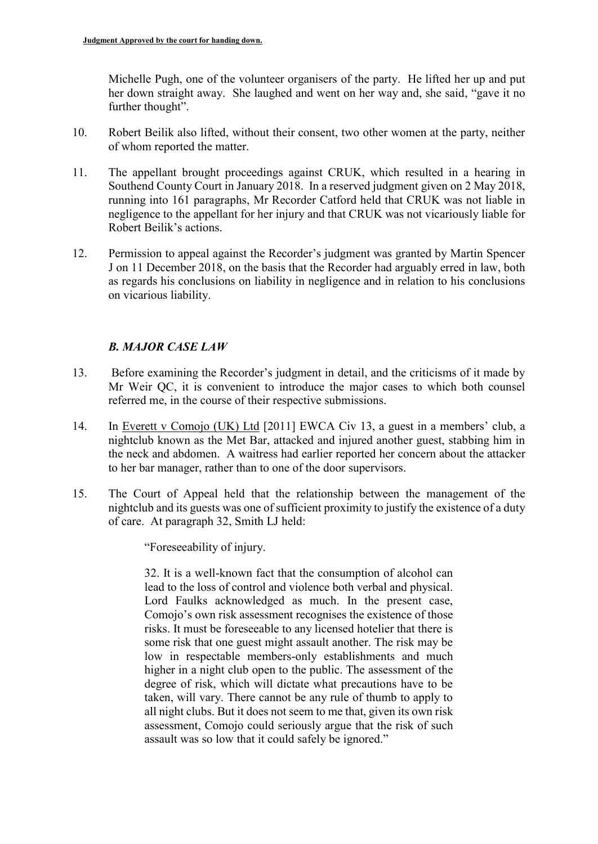Michelle Pugh, one of the volunteer organisers of the party. He lifted her up and put her down straight away. She laughed and went on her way and, she said, "gave it no further thought".

- 10. Robert Beilik also lifted, without their consent, two other women at the party, neither of whom reported the matter.
- 11. The appellant brought proceedings against CRUK, which resulted in a hearing in Southend County Court in January 2018. In a reserved judgment given on 2 May 2018, running into 161 paragraphs, Mr Recorder Catford held that CRUK was not liable in negligence to the appellant for her injury and that CRUK was not vicariously liable for Robert Beilik's actions.
- 12. Permission to appeal against the Recorder's judgment was granted by Martin Spencer J on 11 December 2018, on the basis that the Recorder had arguably erred in law, both as regards his conclusions on liability in negligence and in relation to his conclusions on vicarious liability.

### *B. MAJOR CASE LAW*

- 13. Before examining the Recorder's judgment in detail, and the criticisms of it made by Mr Weir QC, it is convenient to introduce the major cases to which both counsel referred me, in the course of their respective submissions.
- 14. In Everett v Comojo (UK) Ltd [2011] EWCA Civ 13, a guest in a members' club, a nightclub known as the Met Bar, attacked and injured another guest, stabbing him in the neck and abdomen. A waitress had earlier reported her concern about the attacker to her bar manager, rather than to one of the door supervisors.
- 15. The Court of Appeal held that the relationship between the management of the nightclub and its guests was one of sufficient proximity to justify the existence of a duty of care. At paragraph 32, Smith LJ held:

"Foreseeability of injury.

32. It is a well-known fact that the consumption of alcohol can lead to the loss of control and violence both verbal and physical. Lord Faulks acknowledged as much. In the present case, Comojo's own risk assessment recognises the existence of those risks. It must be foreseeable to any licensed hotelier that there is some risk that one guest might assault another. The risk may be low in respectable members-only establishments and much higher in a night club open to the public. The assessment of the degree of risk, which will dictate what precautions have to be taken, will vary. There cannot be any rule of thumb to apply to all night clubs. But it does not seem to me that, given its own risk assessment, Comojo could seriously argue that the risk of such assault was so low that it could safely be ignored."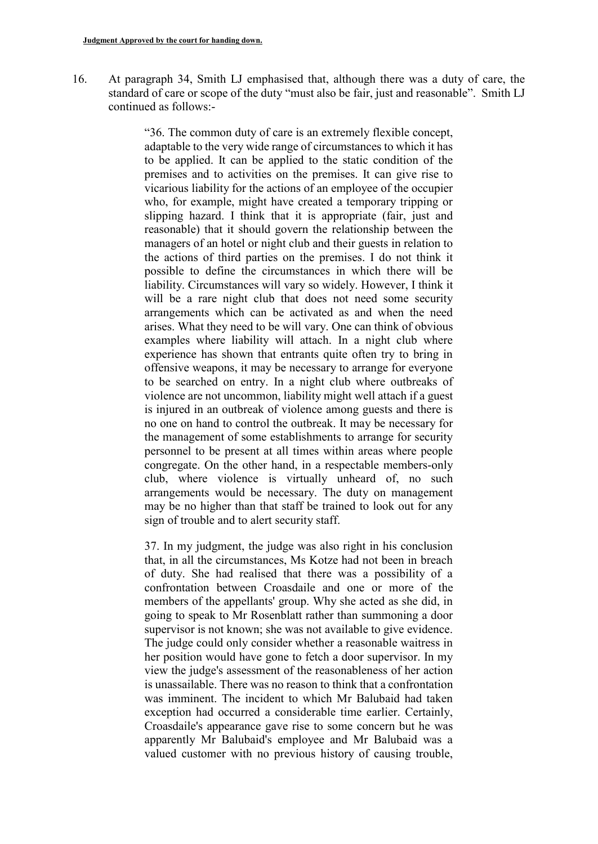16. At paragraph 34, Smith LJ emphasised that, although there was a duty of care, the standard of care or scope of the duty "must also be fair, just and reasonable". Smith LJ continued as follows:-

> "36. The common duty of care is an extremely flexible concept, adaptable to the very wide range of circumstances to which it has to be applied. It can be applied to the static condition of the premises and to activities on the premises. It can give rise to vicarious liability for the actions of an employee of the occupier who, for example, might have created a temporary tripping or slipping hazard. I think that it is appropriate (fair, just and reasonable) that it should govern the relationship between the managers of an hotel or night club and their guests in relation to the actions of third parties on the premises. I do not think it possible to define the circumstances in which there will be liability. Circumstances will vary so widely. However, I think it will be a rare night club that does not need some security arrangements which can be activated as and when the need arises. What they need to be will vary. One can think of obvious examples where liability will attach. In a night club where experience has shown that entrants quite often try to bring in offensive weapons, it may be necessary to arrange for everyone to be searched on entry. In a night club where outbreaks of violence are not uncommon, liability might well attach if a guest is injured in an outbreak of violence among guests and there is no one on hand to control the outbreak. It may be necessary for the management of some establishments to arrange for security personnel to be present at all times within areas where people congregate. On the other hand, in a respectable members-only club, where violence is virtually unheard of, no such arrangements would be necessary. The duty on management may be no higher than that staff be trained to look out for any sign of trouble and to alert security staff.

> 37. In my judgment, the judge was also right in his conclusion that, in all the circumstances, Ms Kotze had not been in breach of duty. She had realised that there was a possibility of a confrontation between Croasdaile and one or more of the members of the appellants' group. Why she acted as she did, in going to speak to Mr Rosenblatt rather than summoning a door supervisor is not known; she was not available to give evidence. The judge could only consider whether a reasonable waitress in her position would have gone to fetch a door supervisor. In my view the judge's assessment of the reasonableness of her action is unassailable. There was no reason to think that a confrontation was imminent. The incident to which Mr Balubaid had taken exception had occurred a considerable time earlier. Certainly, Croasdaile's appearance gave rise to some concern but he was apparently Mr Balubaid's employee and Mr Balubaid was a valued customer with no previous history of causing trouble,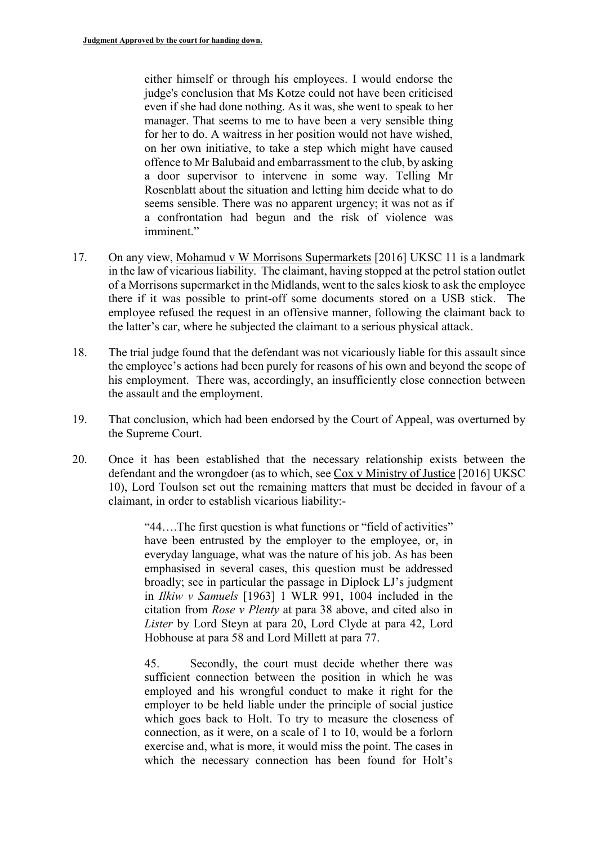either himself or through his employees. I would endorse the judge's conclusion that Ms Kotze could not have been criticised even if she had done nothing. As it was, she went to speak to her manager. That seems to me to have been a very sensible thing for her to do. A waitress in her position would not have wished, on her own initiative, to take a step which might have caused offence to Mr Balubaid and embarrassment to the club, by asking a door supervisor to intervene in some way. Telling Mr Rosenblatt about the situation and letting him decide what to do seems sensible. There was no apparent urgency; it was not as if a confrontation had begun and the risk of violence was imminent."

- 17. On any view, Mohamud v W Morrisons Supermarkets [2016] UKSC 11 is a landmark in the law of vicarious liability. The claimant, having stopped at the petrol station outlet of a Morrisons supermarket in the Midlands, went to the sales kiosk to ask the employee there if it was possible to print-off some documents stored on a USB stick. The employee refused the request in an offensive manner, following the claimant back to the latter's car, where he subjected the claimant to a serious physical attack.
- 18. The trial judge found that the defendant was not vicariously liable for this assault since the employee's actions had been purely for reasons of his own and beyond the scope of his employment. There was, accordingly, an insufficiently close connection between the assault and the employment.
- 19. That conclusion, which had been endorsed by the Court of Appeal, was overturned by the Supreme Court.
- 20. Once it has been established that the necessary relationship exists between the defendant and the wrongdoer (as to which, see Cox v Ministry of Justice [2016] UKSC 10), Lord Toulson set out the remaining matters that must be decided in favour of a claimant, in order to establish vicarious liability:-

"44….The first question is what functions or "field of activities" have been entrusted by the employer to the employee, or, in everyday language, what was the nature of his job. As has been emphasised in several cases, this question must be addressed broadly; see in particular the passage in Diplock LJ's judgment in *Ilkiw v Samuels* [1963] 1 WLR 991, 1004 included in the citation from *Rose v Plenty* at para 38 above, and cited also in *Lister* by Lord Steyn at para 20, Lord Clyde at para 42, Lord Hobhouse at para 58 and Lord Millett at para 77.

45. Secondly, the court must decide whether there was sufficient connection between the position in which he was employed and his wrongful conduct to make it right for the employer to be held liable under the principle of social justice which goes back to Holt. To try to measure the closeness of connection, as it were, on a scale of 1 to 10, would be a forlorn exercise and, what is more, it would miss the point. The cases in which the necessary connection has been found for Holt's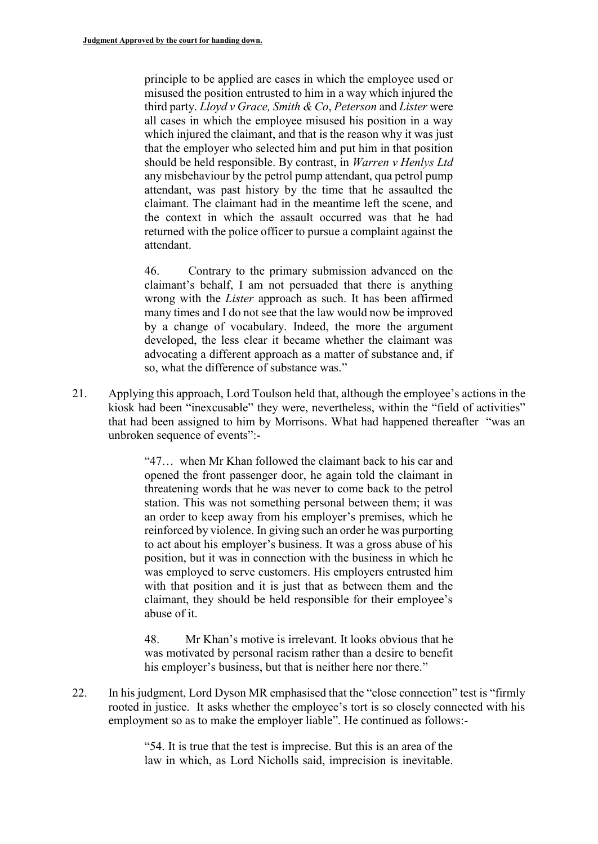principle to be applied are cases in which the employee used or misused the position entrusted to him in a way which injured the third party. *Lloyd v Grace, Smith & Co*, *Peterson* and *Lister* were all cases in which the employee misused his position in a way which injured the claimant, and that is the reason why it was just that the employer who selected him and put him in that position should be held responsible. By contrast, in *Warren v Henlys Ltd* any misbehaviour by the petrol pump attendant, qua petrol pump attendant, was past history by the time that he assaulted the claimant. The claimant had in the meantime left the scene, and the context in which the assault occurred was that he had returned with the police officer to pursue a complaint against the attendant.

46. Contrary to the primary submission advanced on the claimant's behalf, I am not persuaded that there is anything wrong with the *Lister* approach as such. It has been affirmed many times and I do not see that the law would now be improved by a change of vocabulary. Indeed, the more the argument developed, the less clear it became whether the claimant was advocating a different approach as a matter of substance and, if so, what the difference of substance was."

21. Applying this approach, Lord Toulson held that, although the employee's actions in the kiosk had been "inexcusable" they were, nevertheless, within the "field of activities" that had been assigned to him by Morrisons. What had happened thereafter "was an unbroken sequence of events":-

> "47… when Mr Khan followed the claimant back to his car and opened the front passenger door, he again told the claimant in threatening words that he was never to come back to the petrol station. This was not something personal between them; it was an order to keep away from his employer's premises, which he reinforced by violence. In giving such an order he was purporting to act about his employer's business. It was a gross abuse of his position, but it was in connection with the business in which he was employed to serve customers. His employers entrusted him with that position and it is just that as between them and the claimant, they should be held responsible for their employee's abuse of it.

> 48. Mr Khan's motive is irrelevant. It looks obvious that he was motivated by personal racism rather than a desire to benefit his employer's business, but that is neither here nor there."

22. In his judgment, Lord Dyson MR emphasised that the "close connection" test is "firmly rooted in justice. It asks whether the employee's tort is so closely connected with his employment so as to make the employer liable". He continued as follows:-

> "54. It is true that the test is imprecise. But this is an area of the law in which, as Lord Nicholls said, imprecision is inevitable.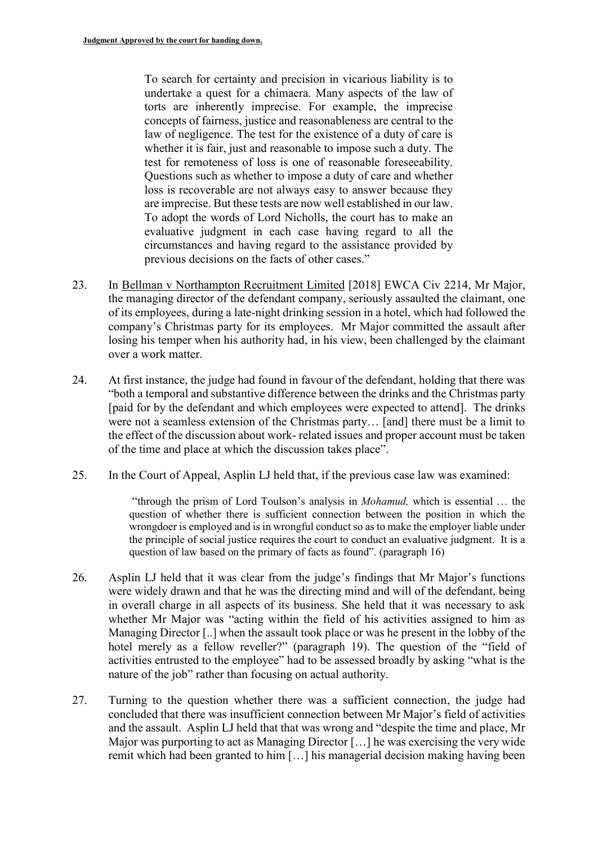To search for certainty and precision in vicarious liability is to undertake a quest for a chimaera. Many aspects of the law of torts are inherently imprecise. For example, the imprecise concepts of fairness, justice and reasonableness are central to the law of negligence. The test for the existence of a duty of care is whether it is fair, just and reasonable to impose such a duty. The test for remoteness of loss is one of reasonable foreseeability. Questions such as whether to impose a duty of care and whether loss is recoverable are not always easy to answer because they are imprecise. But these tests are now well established in our law. To adopt the words of Lord Nicholls, the court has to make an evaluative judgment in each case having regard to all the circumstances and having regard to the assistance provided by previous decisions on the facts of other cases."

- 23. In Bellman v Northampton Recruitment Limited [2018] EWCA Civ 2214, Mr Major, the managing director of the defendant company, seriously assaulted the claimant, one of its employees, during a late-night drinking session in a hotel, which had followed the company's Christmas party for its employees. Mr Major committed the assault after losing his temper when his authority had, in his view, been challenged by the claimant over a work matter.
- 24. At first instance, the judge had found in favour of the defendant, holding that there was "both a temporal and substantive difference between the drinks and the Christmas party [paid for by the defendant and which employees were expected to attend]. The drinks were not a seamless extension of the Christmas party… [and] there must be a limit to the effect of the discussion about work- related issues and proper account must be taken of the time and place at which the discussion takes place".
- 25. In the Court of Appeal, Asplin LJ held that, if the previous case law was examined:

"through the prism of Lord Toulson's analysis in *Mohamud,* which is essential … the question of whether there is sufficient connection between the position in which the wrongdoer is employed and is in wrongful conduct so as to make the employer liable under the principle of social justice requires the court to conduct an evaluative judgment. It is a question of law based on the primary of facts as found". (paragraph 16)

- 26. Asplin LJ held that it was clear from the judge's findings that Mr Major's functions were widely drawn and that he was the directing mind and will of the defendant, being in overall charge in all aspects of its business. She held that it was necessary to ask whether Mr Major was "acting within the field of his activities assigned to him as Managing Director [..] when the assault took place or was he present in the lobby of the hotel merely as a fellow reveller?" (paragraph 19). The question of the "field of activities entrusted to the employee" had to be assessed broadly by asking "what is the nature of the job" rather than focusing on actual authority.
- 27. Turning to the question whether there was a sufficient connection, the judge had concluded that there was insufficient connection between Mr Major's field of activities and the assault. Asplin LJ held that that was wrong and "despite the time and place, Mr Major was purporting to act as Managing Director […] he was exercising the very wide remit which had been granted to him […] his managerial decision making having been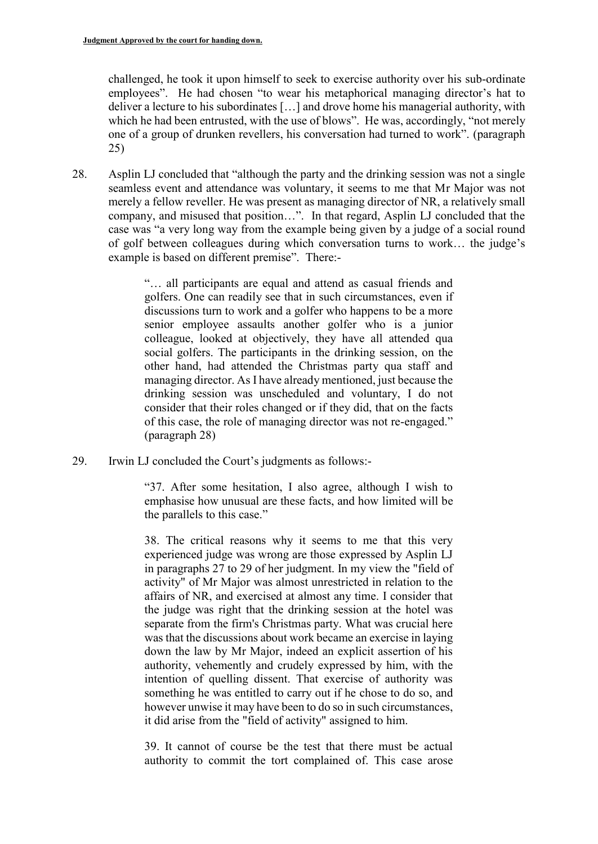challenged, he took it upon himself to seek to exercise authority over his sub-ordinate employees". He had chosen "to wear his metaphorical managing director's hat to deliver a lecture to his subordinates […] and drove home his managerial authority, with which he had been entrusted, with the use of blows". He was, accordingly, "not merely one of a group of drunken revellers, his conversation had turned to work". (paragraph 25)

28. Asplin LJ concluded that "although the party and the drinking session was not a single seamless event and attendance was voluntary, it seems to me that Mr Major was not merely a fellow reveller. He was present as managing director of NR, a relatively small company, and misused that position…". In that regard, Asplin LJ concluded that the case was "a very long way from the example being given by a judge of a social round of golf between colleagues during which conversation turns to work… the judge's example is based on different premise". There:-

> "… all participants are equal and attend as casual friends and golfers. One can readily see that in such circumstances, even if discussions turn to work and a golfer who happens to be a more senior employee assaults another golfer who is a junior colleague, looked at objectively, they have all attended qua social golfers. The participants in the drinking session, on the other hand, had attended the Christmas party qua staff and managing director. As I have already mentioned, just because the drinking session was unscheduled and voluntary, I do not consider that their roles changed or if they did, that on the facts of this case, the role of managing director was not re-engaged." (paragraph 28)

29. Irwin LJ concluded the Court's judgments as follows:-

"37. After some hesitation, I also agree, although I wish to emphasise how unusual are these facts, and how limited will be the parallels to this case."

38. The critical reasons why it seems to me that this very experienced judge was wrong are those expressed by Asplin LJ in paragraphs 27 to 29 of her judgment. In my view the "field of activity" of Mr Major was almost unrestricted in relation to the affairs of NR, and exercised at almost any time. I consider that the judge was right that the drinking session at the hotel was separate from the firm's Christmas party. What was crucial here was that the discussions about work became an exercise in laying down the law by Mr Major, indeed an explicit assertion of his authority, vehemently and crudely expressed by him, with the intention of quelling dissent. That exercise of authority was something he was entitled to carry out if he chose to do so, and however unwise it may have been to do so in such circumstances, it did arise from the "field of activity" assigned to him.

39. It cannot of course be the test that there must be actual authority to commit the tort complained of. This case arose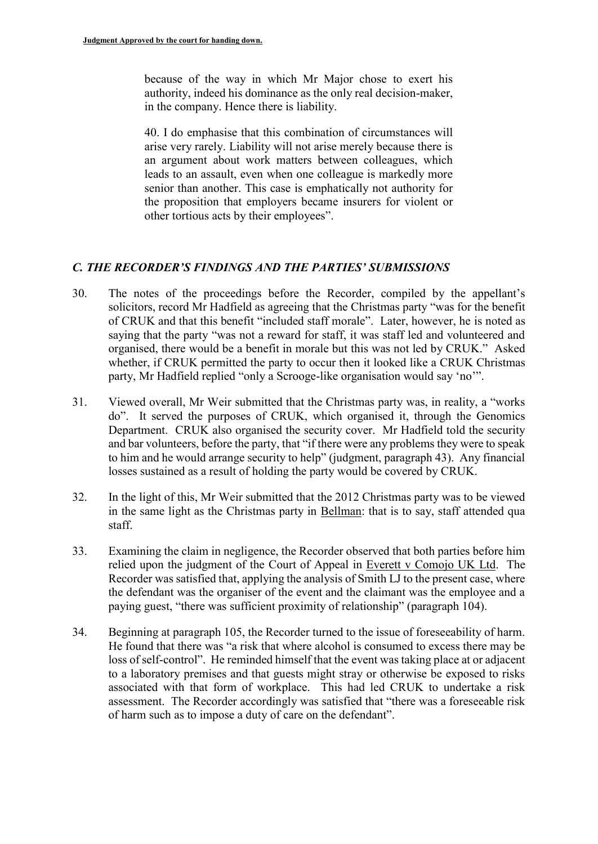because of the way in which Mr Major chose to exert his authority, indeed his dominance as the only real decision-maker, in the company. Hence there is liability.

40. I do emphasise that this combination of circumstances will arise very rarely. Liability will not arise merely because there is an argument about work matters between colleagues, which leads to an assault, even when one colleague is markedly more senior than another. This case is emphatically not authority for the proposition that employers became insurers for violent or other tortious acts by their employees".

### *C. THE RECORDER'S FINDINGS AND THE PARTIES' SUBMISSIONS*

- 30. The notes of the proceedings before the Recorder, compiled by the appellant's solicitors, record Mr Hadfield as agreeing that the Christmas party "was for the benefit of CRUK and that this benefit "included staff morale". Later, however, he is noted as saying that the party "was not a reward for staff, it was staff led and volunteered and organised, there would be a benefit in morale but this was not led by CRUK." Asked whether, if CRUK permitted the party to occur then it looked like a CRUK Christmas party, Mr Hadfield replied "only a Scrooge-like organisation would say 'no'".
- 31. Viewed overall, Mr Weir submitted that the Christmas party was, in reality, a "works do". It served the purposes of CRUK, which organised it, through the Genomics Department. CRUK also organised the security cover. Mr Hadfield told the security and bar volunteers, before the party, that "if there were any problems they were to speak to him and he would arrange security to help" (judgment, paragraph 43). Any financial losses sustained as a result of holding the party would be covered by CRUK.
- 32. In the light of this, Mr Weir submitted that the 2012 Christmas party was to be viewed in the same light as the Christmas party in Bellman: that is to say, staff attended qua staff.
- 33. Examining the claim in negligence, the Recorder observed that both parties before him relied upon the judgment of the Court of Appeal in Everett v Comojo UK Ltd. The Recorder was satisfied that, applying the analysis of Smith LJ to the present case, where the defendant was the organiser of the event and the claimant was the employee and a paying guest, "there was sufficient proximity of relationship" (paragraph 104).
- 34. Beginning at paragraph 105, the Recorder turned to the issue of foreseeability of harm. He found that there was "a risk that where alcohol is consumed to excess there may be loss of self-control". He reminded himself that the event was taking place at or adjacent to a laboratory premises and that guests might stray or otherwise be exposed to risks associated with that form of workplace. This had led CRUK to undertake a risk assessment. The Recorder accordingly was satisfied that "there was a foreseeable risk of harm such as to impose a duty of care on the defendant".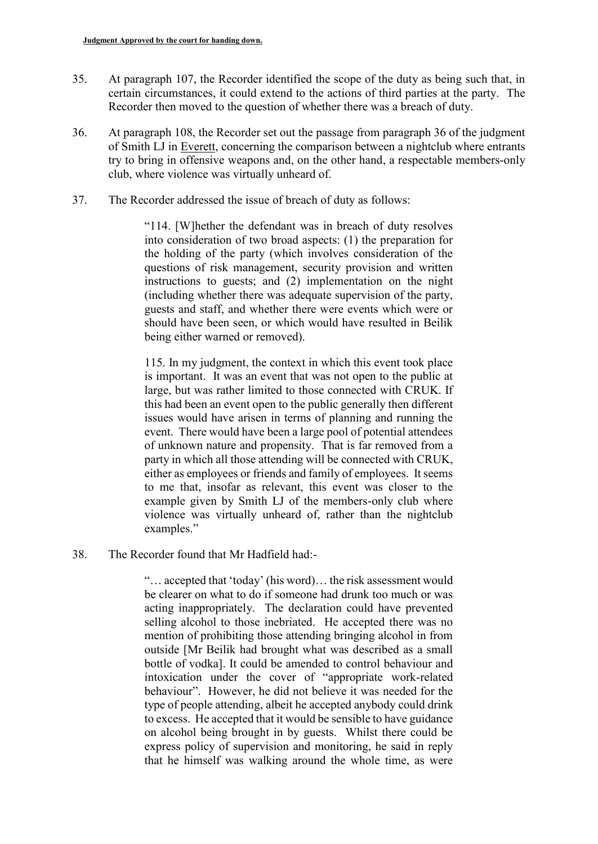- 35. At paragraph 107, the Recorder identified the scope of the duty as being such that, in certain circumstances, it could extend to the actions of third parties at the party. The Recorder then moved to the question of whether there was a breach of duty.
- 36. At paragraph 108, the Recorder set out the passage from paragraph 36 of the judgment of Smith LJ in Everett, concerning the comparison between a nightclub where entrants try to bring in offensive weapons and, on the other hand, a respectable members-only club, where violence was virtually unheard of.
- 37. The Recorder addressed the issue of breach of duty as follows:

"114. [W]hether the defendant was in breach of duty resolves into consideration of two broad aspects: (1) the preparation for the holding of the party (which involves consideration of the questions of risk management, security provision and written instructions to guests; and (2) implementation on the night (including whether there was adequate supervision of the party, guests and staff, and whether there were events which were or should have been seen, or which would have resulted in Beilik being either warned or removed).

115. In my judgment, the context in which this event took place is important. It was an event that was not open to the public at large, but was rather limited to those connected with CRUK. If this had been an event open to the public generally then different issues would have arisen in terms of planning and running the event. There would have been a large pool of potential attendees of unknown nature and propensity. That is far removed from a party in which all those attending will be connected with CRUK, either as employees or friends and family of employees. It seems to me that, insofar as relevant, this event was closer to the example given by Smith LJ of the members-only club where violence was virtually unheard of, rather than the nightclub examples."

38. The Recorder found that Mr Hadfield had:-

"… accepted that 'today' (his word)… the risk assessment would be clearer on what to do if someone had drunk too much or was acting inappropriately. The declaration could have prevented selling alcohol to those inebriated. He accepted there was no mention of prohibiting those attending bringing alcohol in from outside [Mr Beilik had brought what was described as a small bottle of vodka]. It could be amended to control behaviour and intoxication under the cover of "appropriate work-related behaviour". However, he did not believe it was needed for the type of people attending, albeit he accepted anybody could drink to excess. He accepted that it would be sensible to have guidance on alcohol being brought in by guests. Whilst there could be express policy of supervision and monitoring, he said in reply that he himself was walking around the whole time, as were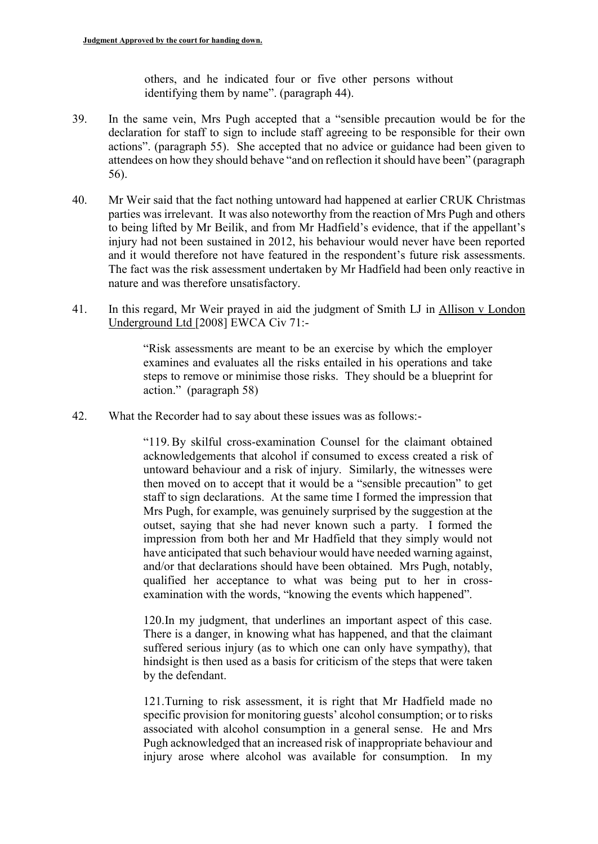others, and he indicated four or five other persons without identifying them by name". (paragraph 44).

- 39. In the same vein, Mrs Pugh accepted that a "sensible precaution would be for the declaration for staff to sign to include staff agreeing to be responsible for their own actions". (paragraph 55). She accepted that no advice or guidance had been given to attendees on how they should behave "and on reflection it should have been" (paragraph 56).
- 40. Mr Weir said that the fact nothing untoward had happened at earlier CRUK Christmas parties was irrelevant. It was also noteworthy from the reaction of Mrs Pugh and others to being lifted by Mr Beilik, and from Mr Hadfield's evidence, that if the appellant's injury had not been sustained in 2012, his behaviour would never have been reported and it would therefore not have featured in the respondent's future risk assessments. The fact was the risk assessment undertaken by Mr Hadfield had been only reactive in nature and was therefore unsatisfactory.
- 41. In this regard, Mr Weir prayed in aid the judgment of Smith LJ in Allison v London Underground Ltd [2008] EWCA Civ 71:-

"Risk assessments are meant to be an exercise by which the employer examines and evaluates all the risks entailed in his operations and take steps to remove or minimise those risks. They should be a blueprint for action." (paragraph 58)

42. What the Recorder had to say about these issues was as follows:-

"119. By skilful cross-examination Counsel for the claimant obtained acknowledgements that alcohol if consumed to excess created a risk of untoward behaviour and a risk of injury. Similarly, the witnesses were then moved on to accept that it would be a "sensible precaution" to get staff to sign declarations. At the same time I formed the impression that Mrs Pugh, for example, was genuinely surprised by the suggestion at the outset, saying that she had never known such a party. I formed the impression from both her and Mr Hadfield that they simply would not have anticipated that such behaviour would have needed warning against, and/or that declarations should have been obtained. Mrs Pugh, notably, qualified her acceptance to what was being put to her in crossexamination with the words, "knowing the events which happened".

120.In my judgment, that underlines an important aspect of this case. There is a danger, in knowing what has happened, and that the claimant suffered serious injury (as to which one can only have sympathy), that hindsight is then used as a basis for criticism of the steps that were taken by the defendant.

121.Turning to risk assessment, it is right that Mr Hadfield made no specific provision for monitoring guests' alcohol consumption; or to risks associated with alcohol consumption in a general sense. He and Mrs Pugh acknowledged that an increased risk of inappropriate behaviour and injury arose where alcohol was available for consumption. In my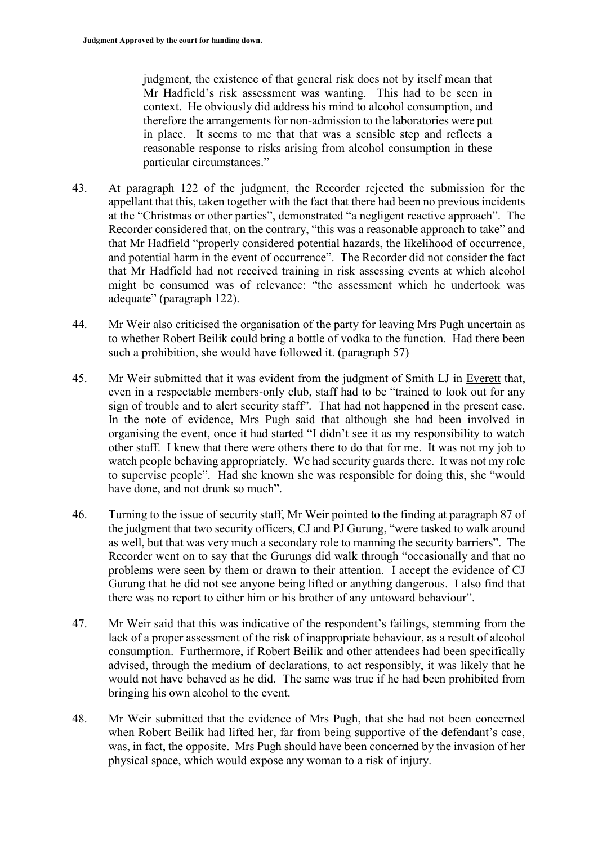judgment, the existence of that general risk does not by itself mean that Mr Hadfield's risk assessment was wanting. This had to be seen in context. He obviously did address his mind to alcohol consumption, and therefore the arrangements for non-admission to the laboratories were put in place. It seems to me that that was a sensible step and reflects a reasonable response to risks arising from alcohol consumption in these particular circumstances."

- 43. At paragraph 122 of the judgment, the Recorder rejected the submission for the appellant that this, taken together with the fact that there had been no previous incidents at the "Christmas or other parties", demonstrated "a negligent reactive approach". The Recorder considered that, on the contrary, "this was a reasonable approach to take" and that Mr Hadfield "properly considered potential hazards, the likelihood of occurrence, and potential harm in the event of occurrence". The Recorder did not consider the fact that Mr Hadfield had not received training in risk assessing events at which alcohol might be consumed was of relevance: "the assessment which he undertook was adequate" (paragraph 122).
- 44. Mr Weir also criticised the organisation of the party for leaving Mrs Pugh uncertain as to whether Robert Beilik could bring a bottle of vodka to the function. Had there been such a prohibition, she would have followed it. (paragraph 57)
- 45. Mr Weir submitted that it was evident from the judgment of Smith LJ in Everett that, even in a respectable members-only club, staff had to be "trained to look out for any sign of trouble and to alert security staff". That had not happened in the present case. In the note of evidence, Mrs Pugh said that although she had been involved in organising the event, once it had started "I didn't see it as my responsibility to watch other staff. I knew that there were others there to do that for me. It was not my job to watch people behaving appropriately. We had security guards there. It was not my role to supervise people". Had she known she was responsible for doing this, she "would have done, and not drunk so much".
- 46. Turning to the issue of security staff, Mr Weir pointed to the finding at paragraph 87 of the judgment that two security officers, CJ and PJ Gurung, "were tasked to walk around as well, but that was very much a secondary role to manning the security barriers". The Recorder went on to say that the Gurungs did walk through "occasionally and that no problems were seen by them or drawn to their attention. I accept the evidence of CJ Gurung that he did not see anyone being lifted or anything dangerous. I also find that there was no report to either him or his brother of any untoward behaviour".
- 47. Mr Weir said that this was indicative of the respondent's failings, stemming from the lack of a proper assessment of the risk of inappropriate behaviour, as a result of alcohol consumption. Furthermore, if Robert Beilik and other attendees had been specifically advised, through the medium of declarations, to act responsibly, it was likely that he would not have behaved as he did. The same was true if he had been prohibited from bringing his own alcohol to the event.
- 48. Mr Weir submitted that the evidence of Mrs Pugh, that she had not been concerned when Robert Beilik had lifted her, far from being supportive of the defendant's case, was, in fact, the opposite. Mrs Pugh should have been concerned by the invasion of her physical space, which would expose any woman to a risk of injury.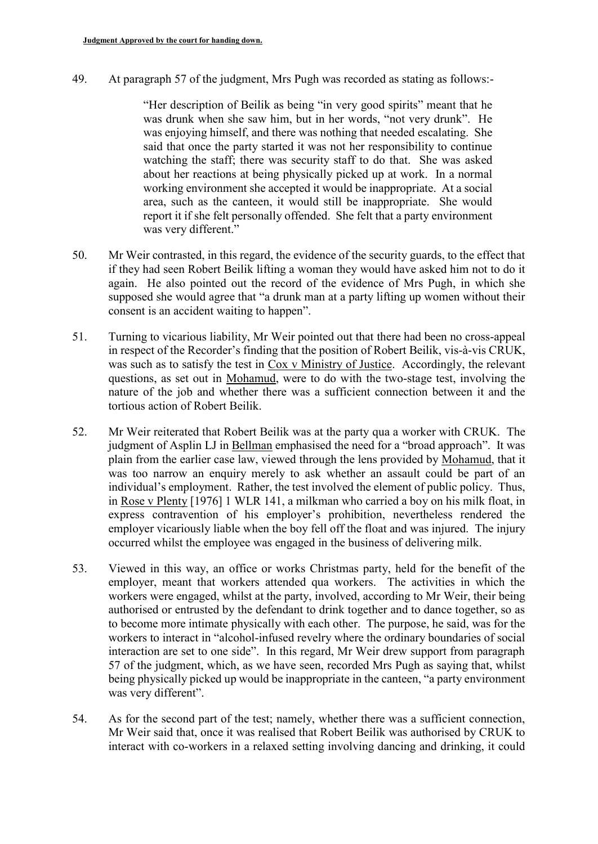49. At paragraph 57 of the judgment, Mrs Pugh was recorded as stating as follows:-

"Her description of Beilik as being "in very good spirits" meant that he was drunk when she saw him, but in her words, "not very drunk". He was enjoying himself, and there was nothing that needed escalating. She said that once the party started it was not her responsibility to continue watching the staff; there was security staff to do that. She was asked about her reactions at being physically picked up at work. In a normal working environment she accepted it would be inappropriate. At a social area, such as the canteen, it would still be inappropriate. She would report it if she felt personally offended. She felt that a party environment was very different."

- 50. Mr Weir contrasted, in this regard, the evidence of the security guards, to the effect that if they had seen Robert Beilik lifting a woman they would have asked him not to do it again. He also pointed out the record of the evidence of Mrs Pugh, in which she supposed she would agree that "a drunk man at a party lifting up women without their consent is an accident waiting to happen".
- 51. Turning to vicarious liability, Mr Weir pointed out that there had been no cross-appeal in respect of the Recorder's finding that the position of Robert Beilik, vis-à-vis CRUK, was such as to satisfy the test in Cox v Ministry of Justice. Accordingly, the relevant questions, as set out in Mohamud, were to do with the two-stage test, involving the nature of the job and whether there was a sufficient connection between it and the tortious action of Robert Beilik.
- 52. Mr Weir reiterated that Robert Beilik was at the party qua a worker with CRUK. The judgment of Asplin LJ in Bellman emphasised the need for a "broad approach". It was plain from the earlier case law, viewed through the lens provided by Mohamud, that it was too narrow an enquiry merely to ask whether an assault could be part of an individual's employment. Rather, the test involved the element of public policy. Thus, in Rose v Plenty [1976] 1 WLR 141, a milkman who carried a boy on his milk float, in express contravention of his employer's prohibition, nevertheless rendered the employer vicariously liable when the boy fell off the float and was injured. The injury occurred whilst the employee was engaged in the business of delivering milk.
- 53. Viewed in this way, an office or works Christmas party, held for the benefit of the employer, meant that workers attended qua workers. The activities in which the workers were engaged, whilst at the party, involved, according to Mr Weir, their being authorised or entrusted by the defendant to drink together and to dance together, so as to become more intimate physically with each other. The purpose, he said, was for the workers to interact in "alcohol-infused revelry where the ordinary boundaries of social interaction are set to one side". In this regard, Mr Weir drew support from paragraph 57 of the judgment, which, as we have seen, recorded Mrs Pugh as saying that, whilst being physically picked up would be inappropriate in the canteen, "a party environment was very different".
- 54. As for the second part of the test; namely, whether there was a sufficient connection, Mr Weir said that, once it was realised that Robert Beilik was authorised by CRUK to interact with co-workers in a relaxed setting involving dancing and drinking, it could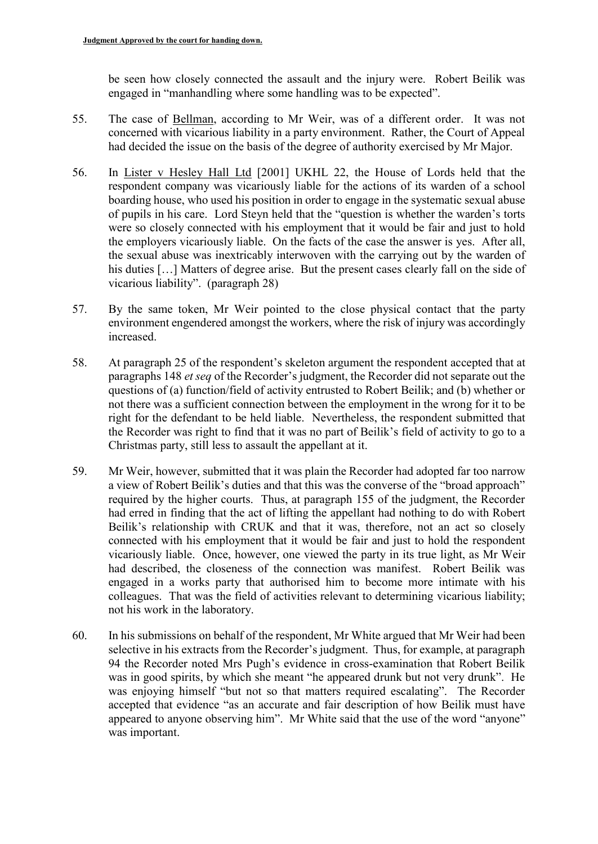be seen how closely connected the assault and the injury were. Robert Beilik was engaged in "manhandling where some handling was to be expected".

- 55. The case of Bellman, according to Mr Weir, was of a different order. It was not concerned with vicarious liability in a party environment. Rather, the Court of Appeal had decided the issue on the basis of the degree of authority exercised by Mr Major.
- 56. In Lister v Hesley Hall Ltd [2001] UKHL 22, the House of Lords held that the respondent company was vicariously liable for the actions of its warden of a school boarding house, who used his position in order to engage in the systematic sexual abuse of pupils in his care. Lord Steyn held that the "question is whether the warden's torts were so closely connected with his employment that it would be fair and just to hold the employers vicariously liable. On the facts of the case the answer is yes. After all, the sexual abuse was inextricably interwoven with the carrying out by the warden of his duties [...] Matters of degree arise. But the present cases clearly fall on the side of vicarious liability". (paragraph 28)
- 57. By the same token, Mr Weir pointed to the close physical contact that the party environment engendered amongst the workers, where the risk of injury was accordingly increased.
- 58. At paragraph 25 of the respondent's skeleton argument the respondent accepted that at paragraphs 148 *et seq* of the Recorder's judgment, the Recorder did not separate out the questions of (a) function/field of activity entrusted to Robert Beilik; and (b) whether or not there was a sufficient connection between the employment in the wrong for it to be right for the defendant to be held liable. Nevertheless, the respondent submitted that the Recorder was right to find that it was no part of Beilik's field of activity to go to a Christmas party, still less to assault the appellant at it.
- 59. Mr Weir, however, submitted that it was plain the Recorder had adopted far too narrow a view of Robert Beilik's duties and that this was the converse of the "broad approach" required by the higher courts. Thus, at paragraph 155 of the judgment, the Recorder had erred in finding that the act of lifting the appellant had nothing to do with Robert Beilik's relationship with CRUK and that it was, therefore, not an act so closely connected with his employment that it would be fair and just to hold the respondent vicariously liable. Once, however, one viewed the party in its true light, as Mr Weir had described, the closeness of the connection was manifest. Robert Beilik was engaged in a works party that authorised him to become more intimate with his colleagues. That was the field of activities relevant to determining vicarious liability; not his work in the laboratory.
- 60. In his submissions on behalf of the respondent, Mr White argued that Mr Weir had been selective in his extracts from the Recorder's judgment. Thus, for example, at paragraph 94 the Recorder noted Mrs Pugh's evidence in cross-examination that Robert Beilik was in good spirits, by which she meant "he appeared drunk but not very drunk". He was enjoying himself "but not so that matters required escalating". The Recorder accepted that evidence "as an accurate and fair description of how Beilik must have appeared to anyone observing him". Mr White said that the use of the word "anyone" was important.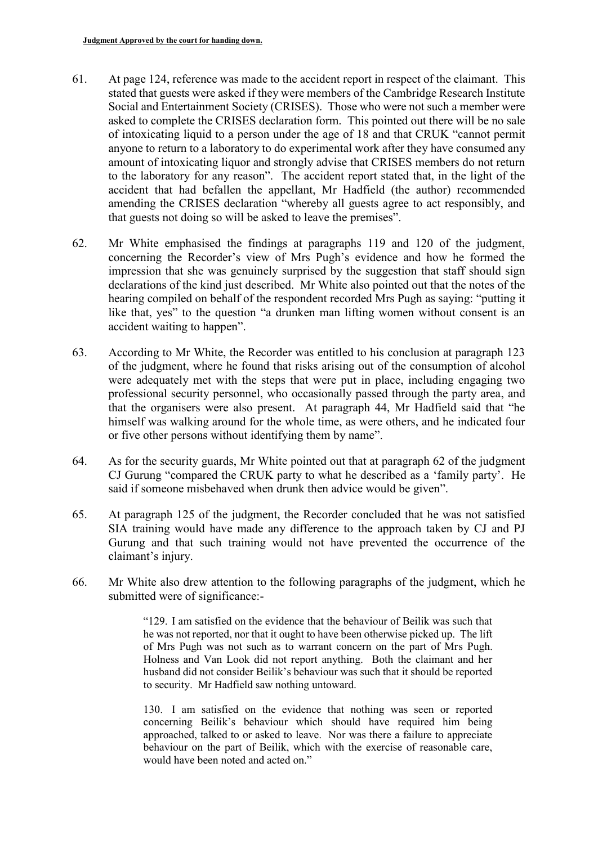- 61. At page 124, reference was made to the accident report in respect of the claimant. This stated that guests were asked if they were members of the Cambridge Research Institute Social and Entertainment Society (CRISES). Those who were not such a member were asked to complete the CRISES declaration form. This pointed out there will be no sale of intoxicating liquid to a person under the age of 18 and that CRUK "cannot permit anyone to return to a laboratory to do experimental work after they have consumed any amount of intoxicating liquor and strongly advise that CRISES members do not return to the laboratory for any reason". The accident report stated that, in the light of the accident that had befallen the appellant, Mr Hadfield (the author) recommended amending the CRISES declaration "whereby all guests agree to act responsibly, and that guests not doing so will be asked to leave the premises".
- 62. Mr White emphasised the findings at paragraphs 119 and 120 of the judgment, concerning the Recorder's view of Mrs Pugh's evidence and how he formed the impression that she was genuinely surprised by the suggestion that staff should sign declarations of the kind just described. Mr White also pointed out that the notes of the hearing compiled on behalf of the respondent recorded Mrs Pugh as saying: "putting it like that, yes" to the question "a drunken man lifting women without consent is an accident waiting to happen".
- 63. According to Mr White, the Recorder was entitled to his conclusion at paragraph 123 of the judgment, where he found that risks arising out of the consumption of alcohol were adequately met with the steps that were put in place, including engaging two professional security personnel, who occasionally passed through the party area, and that the organisers were also present. At paragraph 44, Mr Hadfield said that "he himself was walking around for the whole time, as were others, and he indicated four or five other persons without identifying them by name".
- 64. As for the security guards, Mr White pointed out that at paragraph 62 of the judgment CJ Gurung "compared the CRUK party to what he described as a 'family party'. He said if someone misbehaved when drunk then advice would be given".
- 65. At paragraph 125 of the judgment, the Recorder concluded that he was not satisfied SIA training would have made any difference to the approach taken by CJ and PJ Gurung and that such training would not have prevented the occurrence of the claimant's injury.
- 66. Mr White also drew attention to the following paragraphs of the judgment, which he submitted were of significance:-

"129. I am satisfied on the evidence that the behaviour of Beilik was such that he was not reported, nor that it ought to have been otherwise picked up. The lift of Mrs Pugh was not such as to warrant concern on the part of Mrs Pugh. Holness and Van Look did not report anything. Both the claimant and her husband did not consider Beilik's behaviour was such that it should be reported to security. Mr Hadfield saw nothing untoward.

130. I am satisfied on the evidence that nothing was seen or reported concerning Beilik's behaviour which should have required him being approached, talked to or asked to leave. Nor was there a failure to appreciate behaviour on the part of Beilik, which with the exercise of reasonable care, would have been noted and acted on."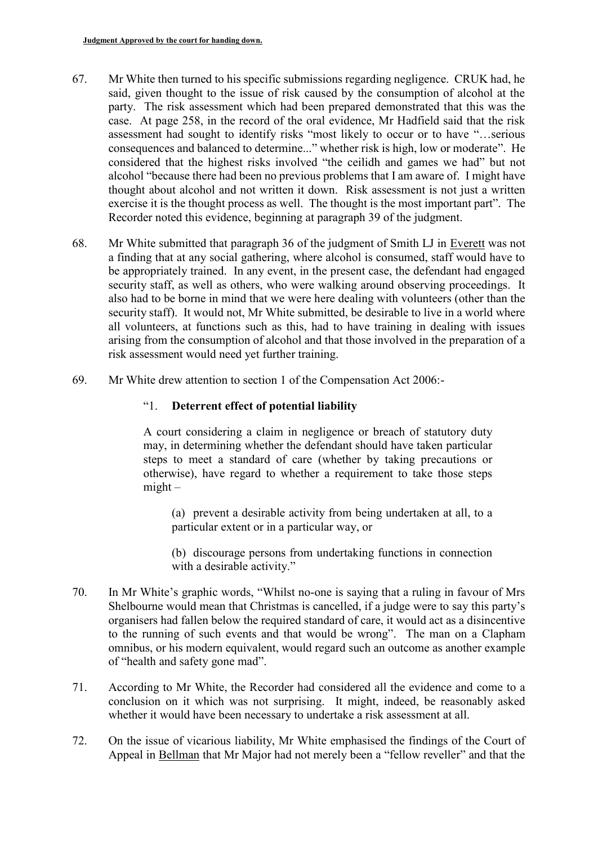- 67. Mr White then turned to his specific submissions regarding negligence. CRUK had, he said, given thought to the issue of risk caused by the consumption of alcohol at the party. The risk assessment which had been prepared demonstrated that this was the case. At page 258, in the record of the oral evidence, Mr Hadfield said that the risk assessment had sought to identify risks "most likely to occur or to have "…serious consequences and balanced to determine..." whether risk is high, low or moderate". He considered that the highest risks involved "the ceilidh and games we had" but not alcohol "because there had been no previous problems that I am aware of. I might have thought about alcohol and not written it down. Risk assessment is not just a written exercise it is the thought process as well. The thought is the most important part". The Recorder noted this evidence, beginning at paragraph 39 of the judgment.
- 68. Mr White submitted that paragraph 36 of the judgment of Smith LJ in Everett was not a finding that at any social gathering, where alcohol is consumed, staff would have to be appropriately trained. In any event, in the present case, the defendant had engaged security staff, as well as others, who were walking around observing proceedings. It also had to be borne in mind that we were here dealing with volunteers (other than the security staff). It would not, Mr White submitted, be desirable to live in a world where all volunteers, at functions such as this, had to have training in dealing with issues arising from the consumption of alcohol and that those involved in the preparation of a risk assessment would need yet further training.
- 69. Mr White drew attention to section 1 of the Compensation Act 2006:-

## "1. **Deterrent effect of potential liability**

A court considering a claim in negligence or breach of statutory duty may, in determining whether the defendant should have taken particular steps to meet a standard of care (whether by taking precautions or otherwise), have regard to whether a requirement to take those steps  $might -$ 

(a) prevent a desirable activity from being undertaken at all, to a particular extent or in a particular way, or

(b) discourage persons from undertaking functions in connection with a desirable activity."

- 70. In Mr White's graphic words, "Whilst no-one is saying that a ruling in favour of Mrs Shelbourne would mean that Christmas is cancelled, if a judge were to say this party's organisers had fallen below the required standard of care, it would act as a disincentive to the running of such events and that would be wrong". The man on a Clapham omnibus, or his modern equivalent, would regard such an outcome as another example of "health and safety gone mad".
- 71. According to Mr White, the Recorder had considered all the evidence and come to a conclusion on it which was not surprising. It might, indeed, be reasonably asked whether it would have been necessary to undertake a risk assessment at all.
- 72. On the issue of vicarious liability, Mr White emphasised the findings of the Court of Appeal in Bellman that Mr Major had not merely been a "fellow reveller" and that the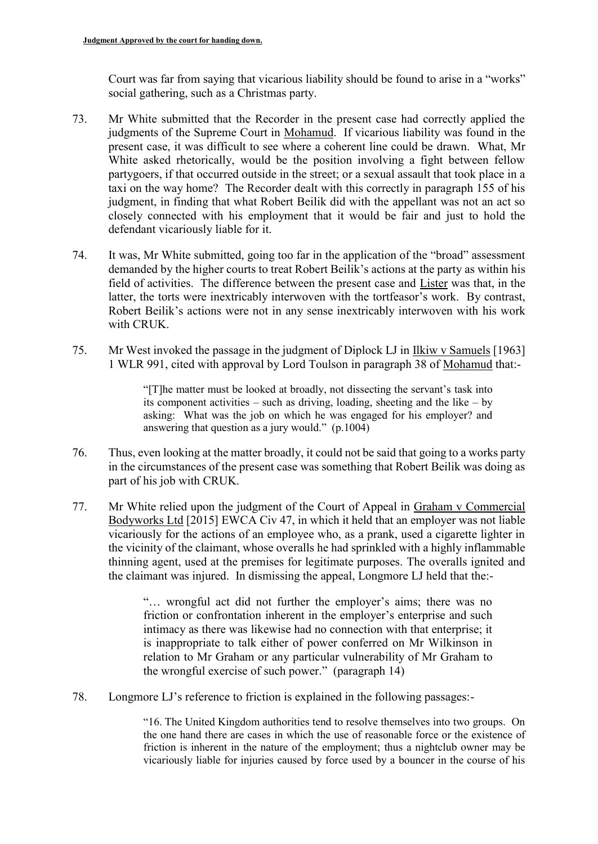Court was far from saying that vicarious liability should be found to arise in a "works" social gathering, such as a Christmas party.

- 73. Mr White submitted that the Recorder in the present case had correctly applied the judgments of the Supreme Court in Mohamud. If vicarious liability was found in the present case, it was difficult to see where a coherent line could be drawn. What, Mr White asked rhetorically, would be the position involving a fight between fellow partygoers, if that occurred outside in the street; or a sexual assault that took place in a taxi on the way home? The Recorder dealt with this correctly in paragraph 155 of his judgment, in finding that what Robert Beilik did with the appellant was not an act so closely connected with his employment that it would be fair and just to hold the defendant vicariously liable for it.
- 74. It was, Mr White submitted, going too far in the application of the "broad" assessment demanded by the higher courts to treat Robert Beilik's actions at the party as within his field of activities. The difference between the present case and Lister was that, in the latter, the torts were inextricably interwoven with the tortfeasor's work. By contrast, Robert Beilik's actions were not in any sense inextricably interwoven with his work with CRUK.
- 75. Mr West invoked the passage in the judgment of Diplock LJ in Ilkiw v Samuels [1963] 1 WLR 991, cited with approval by Lord Toulson in paragraph 38 of Mohamud that:-

"[T]he matter must be looked at broadly, not dissecting the servant's task into its component activities – such as driving, loading, sheeting and the like – by asking: What was the job on which he was engaged for his employer? and answering that question as a jury would." (p.1004)

- 76. Thus, even looking at the matter broadly, it could not be said that going to a works party in the circumstances of the present case was something that Robert Beilik was doing as part of his job with CRUK.
- 77. Mr White relied upon the judgment of the Court of Appeal in Graham v Commercial Bodyworks Ltd [2015] EWCA Civ 47, in which it held that an employer was not liable vicariously for the actions of an employee who, as a prank, used a cigarette lighter in the vicinity of the claimant, whose overalls he had sprinkled with a highly inflammable thinning agent, used at the premises for legitimate purposes. The overalls ignited and the claimant was injured. In dismissing the appeal, Longmore LJ held that the:-

"… wrongful act did not further the employer's aims; there was no friction or confrontation inherent in the employer's enterprise and such intimacy as there was likewise had no connection with that enterprise; it is inappropriate to talk either of power conferred on Mr Wilkinson in relation to Mr Graham or any particular vulnerability of Mr Graham to the wrongful exercise of such power." (paragraph 14)

78. Longmore LJ's reference to friction is explained in the following passages:-

"16. The United Kingdom authorities tend to resolve themselves into two groups. On the one hand there are cases in which the use of reasonable force or the existence of friction is inherent in the nature of the employment; thus a nightclub owner may be vicariously liable for injuries caused by force used by a bouncer in the course of his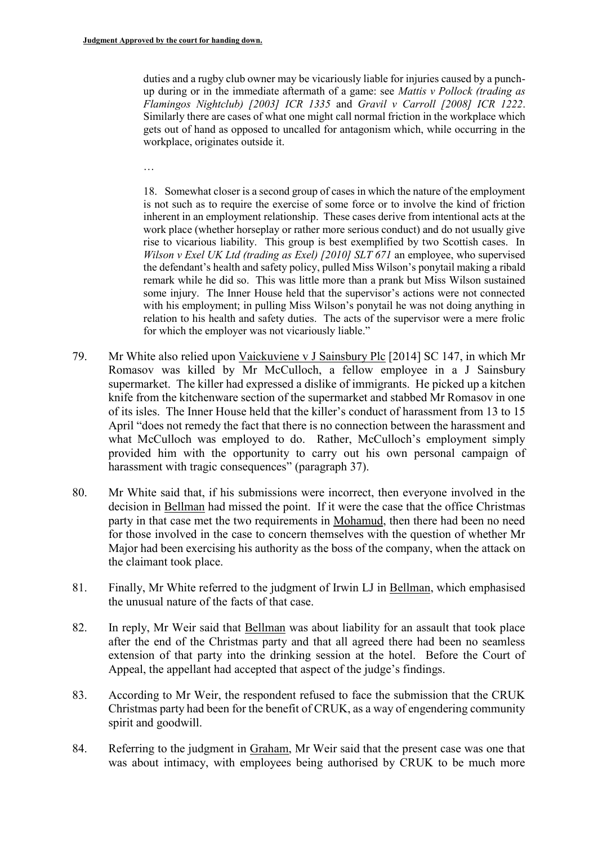duties and a rugby club owner may be vicariously liable for injuries caused by a punchup during or in the immediate aftermath of a game: see *Mattis v Pollock (trading as Flamingos Nightclub) [2003] ICR 1335* and *Gravil v Carroll [2008] ICR 1222*. Similarly there are cases of what one might call normal friction in the workplace which gets out of hand as opposed to uncalled for antagonism which, while occurring in the workplace, originates outside it.

…

18. Somewhat closer is a second group of cases in which the nature of the employment is not such as to require the exercise of some force or to involve the kind of friction inherent in an employment relationship. These cases derive from intentional acts at the work place (whether horseplay or rather more serious conduct) and do not usually give rise to vicarious liability. This group is best exemplified by two Scottish cases. In *Wilson v Exel UK Ltd (trading as Exel) [2010] SLT 671* an employee, who supervised the defendant's health and safety policy, pulled Miss Wilson's ponytail making a ribald remark while he did so. This was little more than a prank but Miss Wilson sustained some injury. The Inner House held that the supervisor's actions were not connected with his employment; in pulling Miss Wilson's ponytail he was not doing anything in relation to his health and safety duties. The acts of the supervisor were a mere frolic for which the employer was not vicariously liable."

- 79. Mr White also relied upon Vaickuviene v J Sainsbury Plc [2014] SC 147, in which Mr Romasov was killed by Mr McCulloch, a fellow employee in a J Sainsbury supermarket. The killer had expressed a dislike of immigrants. He picked up a kitchen knife from the kitchenware section of the supermarket and stabbed Mr Romasov in one of its isles. The Inner House held that the killer's conduct of harassment from 13 to 15 April "does not remedy the fact that there is no connection between the harassment and what McCulloch was employed to do. Rather, McCulloch's employment simply provided him with the opportunity to carry out his own personal campaign of harassment with tragic consequences" (paragraph 37).
- 80. Mr White said that, if his submissions were incorrect, then everyone involved in the decision in Bellman had missed the point. If it were the case that the office Christmas party in that case met the two requirements in Mohamud, then there had been no need for those involved in the case to concern themselves with the question of whether Mr Major had been exercising his authority as the boss of the company, when the attack on the claimant took place.
- 81. Finally, Mr White referred to the judgment of Irwin LJ in Bellman, which emphasised the unusual nature of the facts of that case.
- 82. In reply, Mr Weir said that Bellman was about liability for an assault that took place after the end of the Christmas party and that all agreed there had been no seamless extension of that party into the drinking session at the hotel. Before the Court of Appeal, the appellant had accepted that aspect of the judge's findings.
- 83. According to Mr Weir, the respondent refused to face the submission that the CRUK Christmas party had been for the benefit of CRUK, as a way of engendering community spirit and goodwill.
- 84. Referring to the judgment in Graham, Mr Weir said that the present case was one that was about intimacy, with employees being authorised by CRUK to be much more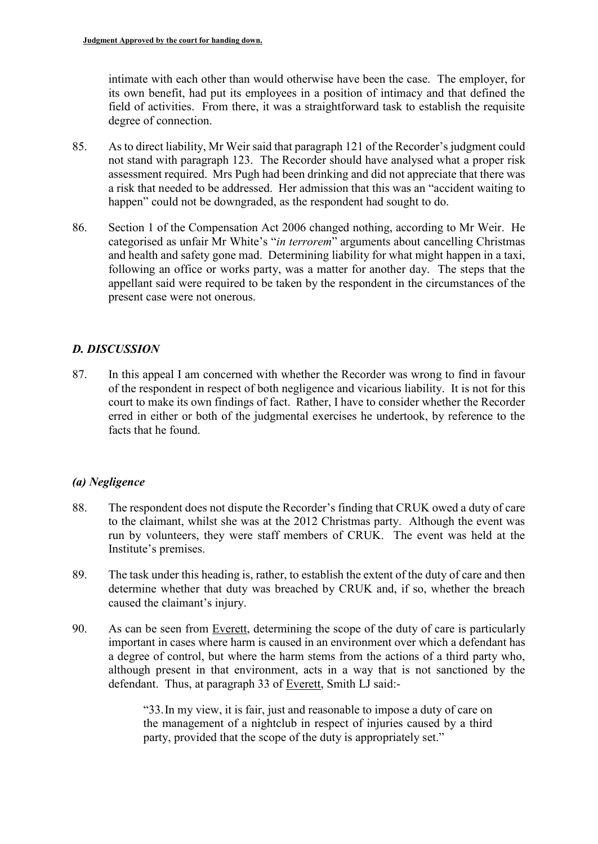intimate with each other than would otherwise have been the case. The employer, for its own benefit, had put its employees in a position of intimacy and that defined the field of activities. From there, it was a straightforward task to establish the requisite degree of connection.

- 85. As to direct liability, Mr Weir said that paragraph 121 of the Recorder's judgment could not stand with paragraph 123. The Recorder should have analysed what a proper risk assessment required. Mrs Pugh had been drinking and did not appreciate that there was a risk that needed to be addressed. Her admission that this was an "accident waiting to happen" could not be downgraded, as the respondent had sought to do.
- 86. Section 1 of the Compensation Act 2006 changed nothing, according to Mr Weir. He categorised as unfair Mr White's "*in terrorem*" arguments about cancelling Christmas and health and safety gone mad. Determining liability for what might happen in a taxi, following an office or works party, was a matter for another day. The steps that the appellant said were required to be taken by the respondent in the circumstances of the present case were not onerous.

## *D. DISCUSSION*

87. In this appeal I am concerned with whether the Recorder was wrong to find in favour of the respondent in respect of both negligence and vicarious liability. It is not for this court to make its own findings of fact. Rather, I have to consider whether the Recorder erred in either or both of the judgmental exercises he undertook, by reference to the facts that he found.

## *(a) Negligence*

- 88. The respondent does not dispute the Recorder's finding that CRUK owed a duty of care to the claimant, whilst she was at the 2012 Christmas party. Although the event was run by volunteers, they were staff members of CRUK. The event was held at the Institute's premises.
- 89. The task under this heading is, rather, to establish the extent of the duty of care and then determine whether that duty was breached by CRUK and, if so, whether the breach caused the claimant's injury.
- 90. As can be seen from Everett, determining the scope of the duty of care is particularly important in cases where harm is caused in an environment over which a defendant has a degree of control, but where the harm stems from the actions of a third party who, although present in that environment, acts in a way that is not sanctioned by the defendant. Thus, at paragraph 33 of Everett, Smith LJ said:-

"33.In my view, it is fair, just and reasonable to impose a duty of care on the management of a nightclub in respect of injuries caused by a third party, provided that the scope of the duty is appropriately set."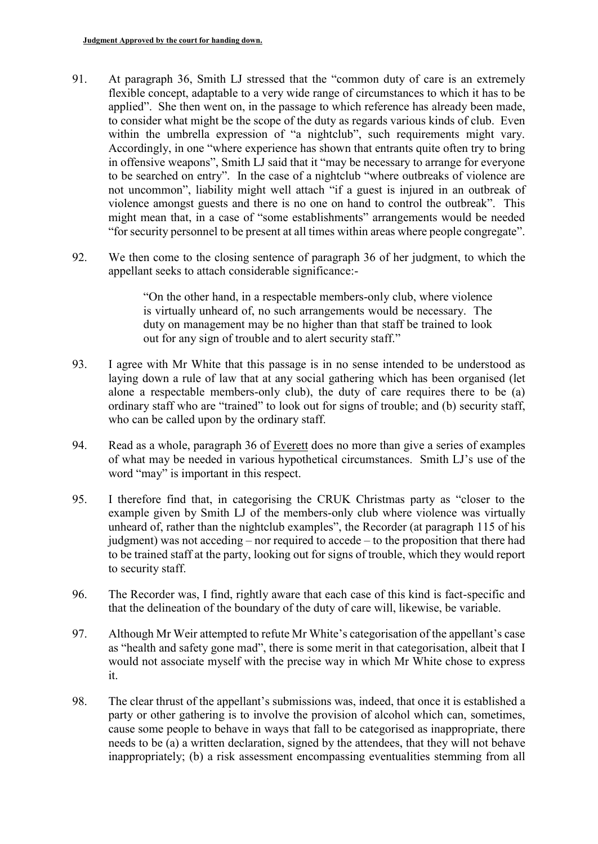- 91. At paragraph 36, Smith LJ stressed that the "common duty of care is an extremely flexible concept, adaptable to a very wide range of circumstances to which it has to be applied". She then went on, in the passage to which reference has already been made, to consider what might be the scope of the duty as regards various kinds of club. Even within the umbrella expression of "a nightclub", such requirements might vary. Accordingly, in one "where experience has shown that entrants quite often try to bring in offensive weapons", Smith LJ said that it "may be necessary to arrange for everyone to be searched on entry". In the case of a nightclub "where outbreaks of violence are not uncommon", liability might well attach "if a guest is injured in an outbreak of violence amongst guests and there is no one on hand to control the outbreak". This might mean that, in a case of "some establishments" arrangements would be needed "for security personnel to be present at all times within areas where people congregate".
- 92. We then come to the closing sentence of paragraph 36 of her judgment, to which the appellant seeks to attach considerable significance:-

"On the other hand, in a respectable members-only club, where violence is virtually unheard of, no such arrangements would be necessary. The duty on management may be no higher than that staff be trained to look out for any sign of trouble and to alert security staff."

- 93. I agree with Mr White that this passage is in no sense intended to be understood as laying down a rule of law that at any social gathering which has been organised (let alone a respectable members-only club), the duty of care requires there to be (a) ordinary staff who are "trained" to look out for signs of trouble; and (b) security staff, who can be called upon by the ordinary staff.
- 94. Read as a whole, paragraph 36 of Everett does no more than give a series of examples of what may be needed in various hypothetical circumstances. Smith LJ's use of the word "may" is important in this respect.
- 95. I therefore find that, in categorising the CRUK Christmas party as "closer to the example given by Smith LJ of the members-only club where violence was virtually unheard of, rather than the nightclub examples", the Recorder (at paragraph 115 of his judgment) was not acceding – nor required to accede – to the proposition that there had to be trained staff at the party, looking out for signs of trouble, which they would report to security staff.
- 96. The Recorder was, I find, rightly aware that each case of this kind is fact-specific and that the delineation of the boundary of the duty of care will, likewise, be variable.
- 97. Although Mr Weir attempted to refute Mr White's categorisation of the appellant's case as "health and safety gone mad", there is some merit in that categorisation, albeit that I would not associate myself with the precise way in which Mr White chose to express it.
- 98. The clear thrust of the appellant's submissions was, indeed, that once it is established a party or other gathering is to involve the provision of alcohol which can, sometimes, cause some people to behave in ways that fall to be categorised as inappropriate, there needs to be (a) a written declaration, signed by the attendees, that they will not behave inappropriately; (b) a risk assessment encompassing eventualities stemming from all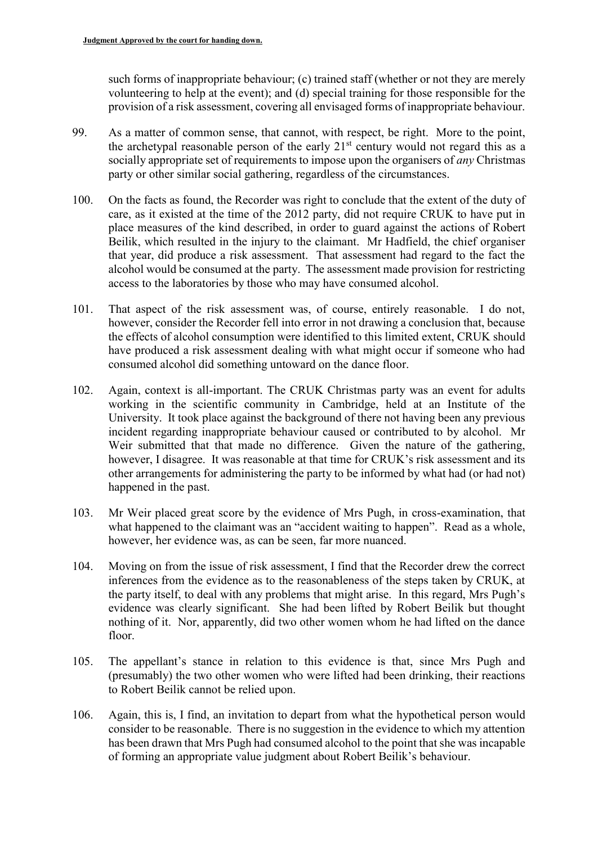such forms of inappropriate behaviour; (c) trained staff (whether or not they are merely volunteering to help at the event); and (d) special training for those responsible for the provision of a risk assessment, covering all envisaged forms of inappropriate behaviour.

- 99. As a matter of common sense, that cannot, with respect, be right. More to the point, the archetypal reasonable person of the early 21<sup>st</sup> century would not regard this as a socially appropriate set of requirements to impose upon the organisers of *any* Christmas party or other similar social gathering, regardless of the circumstances.
- 100. On the facts as found, the Recorder was right to conclude that the extent of the duty of care, as it existed at the time of the 2012 party, did not require CRUK to have put in place measures of the kind described, in order to guard against the actions of Robert Beilik, which resulted in the injury to the claimant. Mr Hadfield, the chief organiser that year, did produce a risk assessment. That assessment had regard to the fact the alcohol would be consumed at the party. The assessment made provision for restricting access to the laboratories by those who may have consumed alcohol.
- 101. That aspect of the risk assessment was, of course, entirely reasonable. I do not, however, consider the Recorder fell into error in not drawing a conclusion that, because the effects of alcohol consumption were identified to this limited extent, CRUK should have produced a risk assessment dealing with what might occur if someone who had consumed alcohol did something untoward on the dance floor.
- 102. Again, context is all-important. The CRUK Christmas party was an event for adults working in the scientific community in Cambridge, held at an Institute of the University. It took place against the background of there not having been any previous incident regarding inappropriate behaviour caused or contributed to by alcohol. Mr Weir submitted that that made no difference. Given the nature of the gathering, however, I disagree. It was reasonable at that time for CRUK's risk assessment and its other arrangements for administering the party to be informed by what had (or had not) happened in the past.
- 103. Mr Weir placed great score by the evidence of Mrs Pugh, in cross-examination, that what happened to the claimant was an "accident waiting to happen". Read as a whole, however, her evidence was, as can be seen, far more nuanced.
- 104. Moving on from the issue of risk assessment, I find that the Recorder drew the correct inferences from the evidence as to the reasonableness of the steps taken by CRUK, at the party itself, to deal with any problems that might arise. In this regard, Mrs Pugh's evidence was clearly significant. She had been lifted by Robert Beilik but thought nothing of it. Nor, apparently, did two other women whom he had lifted on the dance floor.
- 105. The appellant's stance in relation to this evidence is that, since Mrs Pugh and (presumably) the two other women who were lifted had been drinking, their reactions to Robert Beilik cannot be relied upon.
- 106. Again, this is, I find, an invitation to depart from what the hypothetical person would consider to be reasonable. There is no suggestion in the evidence to which my attention has been drawn that Mrs Pugh had consumed alcohol to the point that she was incapable of forming an appropriate value judgment about Robert Beilik's behaviour.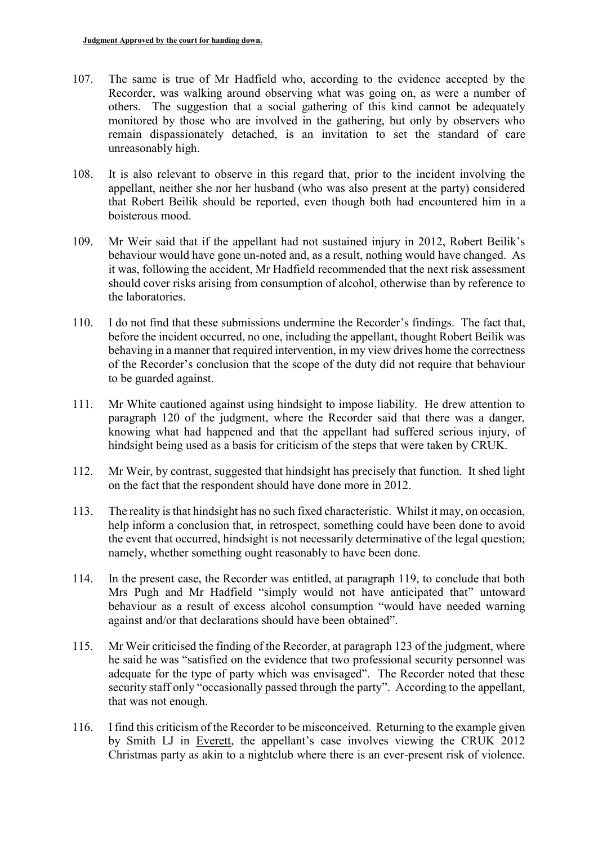- 107. The same is true of Mr Hadfield who, according to the evidence accepted by the Recorder, was walking around observing what was going on, as were a number of others. The suggestion that a social gathering of this kind cannot be adequately monitored by those who are involved in the gathering, but only by observers who remain dispassionately detached, is an invitation to set the standard of care unreasonably high.
- 108. It is also relevant to observe in this regard that, prior to the incident involving the appellant, neither she nor her husband (who was also present at the party) considered that Robert Beilik should be reported, even though both had encountered him in a boisterous mood.
- 109. Mr Weir said that if the appellant had not sustained injury in 2012, Robert Beilik's behaviour would have gone un-noted and, as a result, nothing would have changed. As it was, following the accident, Mr Hadfield recommended that the next risk assessment should cover risks arising from consumption of alcohol, otherwise than by reference to the laboratories.
- 110. I do not find that these submissions undermine the Recorder's findings. The fact that, before the incident occurred, no one, including the appellant, thought Robert Beilik was behaving in a manner that required intervention, in my view drives home the correctness of the Recorder's conclusion that the scope of the duty did not require that behaviour to be guarded against.
- 111. Mr White cautioned against using hindsight to impose liability. He drew attention to paragraph 120 of the judgment, where the Recorder said that there was a danger, knowing what had happened and that the appellant had suffered serious injury, of hindsight being used as a basis for criticism of the steps that were taken by CRUK.
- 112. Mr Weir, by contrast, suggested that hindsight has precisely that function. It shed light on the fact that the respondent should have done more in 2012.
- 113. The reality is that hindsight has no such fixed characteristic. Whilst it may, on occasion, help inform a conclusion that, in retrospect, something could have been done to avoid the event that occurred, hindsight is not necessarily determinative of the legal question; namely, whether something ought reasonably to have been done.
- 114. In the present case, the Recorder was entitled, at paragraph 119, to conclude that both Mrs Pugh and Mr Hadfield "simply would not have anticipated that" untoward behaviour as a result of excess alcohol consumption "would have needed warning against and/or that declarations should have been obtained".
- 115. Mr Weir criticised the finding of the Recorder, at paragraph 123 of the judgment, where he said he was "satisfied on the evidence that two professional security personnel was adequate for the type of party which was envisaged". The Recorder noted that these security staff only "occasionally passed through the party". According to the appellant, that was not enough.
- 116. I find this criticism of the Recorder to be misconceived. Returning to the example given by Smith LJ in Everett, the appellant's case involves viewing the CRUK 2012 Christmas party as akin to a nightclub where there is an ever-present risk of violence.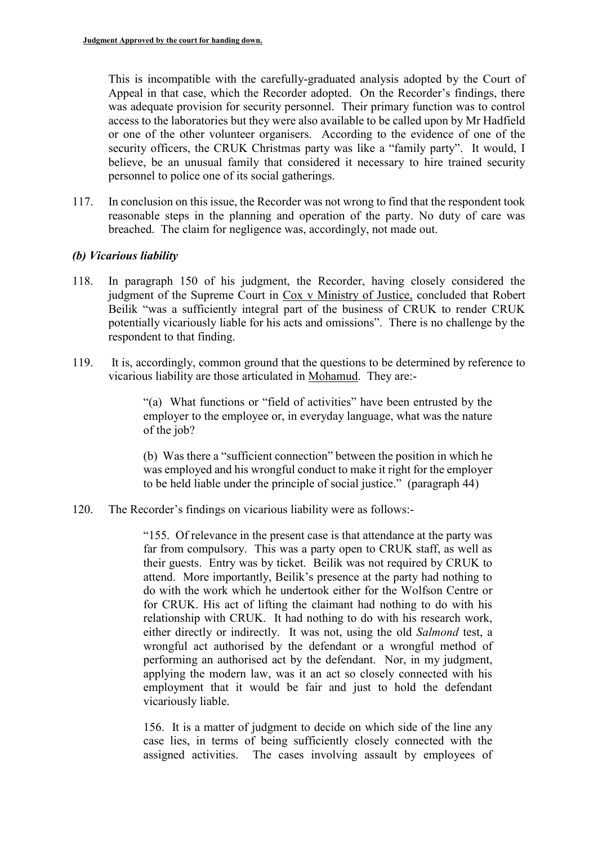This is incompatible with the carefully-graduated analysis adopted by the Court of Appeal in that case, which the Recorder adopted. On the Recorder's findings, there was adequate provision for security personnel. Their primary function was to control access to the laboratories but they were also available to be called upon by Mr Hadfield or one of the other volunteer organisers. According to the evidence of one of the security officers, the CRUK Christmas party was like a "family party". It would, I believe, be an unusual family that considered it necessary to hire trained security personnel to police one of its social gatherings.

117. In conclusion on this issue, the Recorder was not wrong to find that the respondent took reasonable steps in the planning and operation of the party. No duty of care was breached. The claim for negligence was, accordingly, not made out.

#### *(b) Vicarious liability*

- 118. In paragraph 150 of his judgment, the Recorder, having closely considered the judgment of the Supreme Court in Cox v Ministry of Justice, concluded that Robert Beilik "was a sufficiently integral part of the business of CRUK to render CRUK potentially vicariously liable for his acts and omissions". There is no challenge by the respondent to that finding.
- 119. It is, accordingly, common ground that the questions to be determined by reference to vicarious liability are those articulated in Mohamud. They are:-

"(a) What functions or "field of activities" have been entrusted by the employer to the employee or, in everyday language, what was the nature of the job?

(b) Was there a "sufficient connection" between the position in which he was employed and his wrongful conduct to make it right for the employer to be held liable under the principle of social justice." (paragraph 44)

120. The Recorder's findings on vicarious liability were as follows:-

"155. Of relevance in the present case is that attendance at the party was far from compulsory. This was a party open to CRUK staff, as well as their guests. Entry was by ticket. Beilik was not required by CRUK to attend. More importantly, Beilik's presence at the party had nothing to do with the work which he undertook either for the Wolfson Centre or for CRUK. His act of lifting the claimant had nothing to do with his relationship with CRUK. It had nothing to do with his research work, either directly or indirectly. It was not, using the old *Salmond* test, a wrongful act authorised by the defendant or a wrongful method of performing an authorised act by the defendant. Nor, in my judgment, applying the modern law, was it an act so closely connected with his employment that it would be fair and just to hold the defendant vicariously liable.

156. It is a matter of judgment to decide on which side of the line any case lies, in terms of being sufficiently closely connected with the assigned activities. The cases involving assault by employees of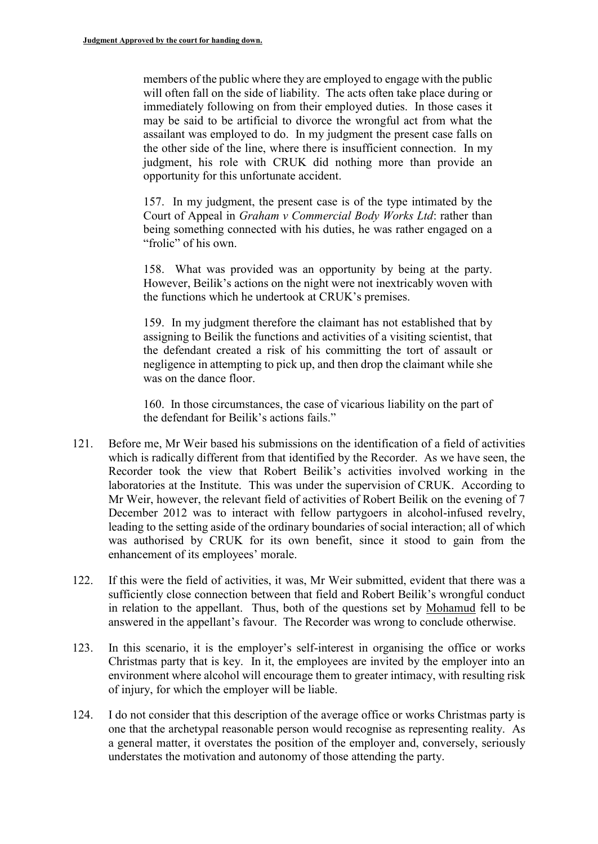members of the public where they are employed to engage with the public will often fall on the side of liability. The acts often take place during or immediately following on from their employed duties. In those cases it may be said to be artificial to divorce the wrongful act from what the assailant was employed to do. In my judgment the present case falls on the other side of the line, where there is insufficient connection. In my judgment, his role with CRUK did nothing more than provide an opportunity for this unfortunate accident.

157. In my judgment, the present case is of the type intimated by the Court of Appeal in *Graham v Commercial Body Works Ltd*: rather than being something connected with his duties, he was rather engaged on a "frolic" of his own.

158. What was provided was an opportunity by being at the party. However, Beilik's actions on the night were not inextricably woven with the functions which he undertook at CRUK's premises.

159. In my judgment therefore the claimant has not established that by assigning to Beilik the functions and activities of a visiting scientist, that the defendant created a risk of his committing the tort of assault or negligence in attempting to pick up, and then drop the claimant while she was on the dance floor.

160. In those circumstances, the case of vicarious liability on the part of the defendant for Beilik's actions fails."

- 121. Before me, Mr Weir based his submissions on the identification of a field of activities which is radically different from that identified by the Recorder. As we have seen, the Recorder took the view that Robert Beilik's activities involved working in the laboratories at the Institute. This was under the supervision of CRUK. According to Mr Weir, however, the relevant field of activities of Robert Beilik on the evening of 7 December 2012 was to interact with fellow partygoers in alcohol-infused revelry, leading to the setting aside of the ordinary boundaries of social interaction; all of which was authorised by CRUK for its own benefit, since it stood to gain from the enhancement of its employees' morale.
- 122. If this were the field of activities, it was, Mr Weir submitted, evident that there was a sufficiently close connection between that field and Robert Beilik's wrongful conduct in relation to the appellant. Thus, both of the questions set by Mohamud fell to be answered in the appellant's favour. The Recorder was wrong to conclude otherwise.
- 123. In this scenario, it is the employer's self-interest in organising the office or works Christmas party that is key. In it, the employees are invited by the employer into an environment where alcohol will encourage them to greater intimacy, with resulting risk of injury, for which the employer will be liable.
- 124. I do not consider that this description of the average office or works Christmas party is one that the archetypal reasonable person would recognise as representing reality. As a general matter, it overstates the position of the employer and, conversely, seriously understates the motivation and autonomy of those attending the party.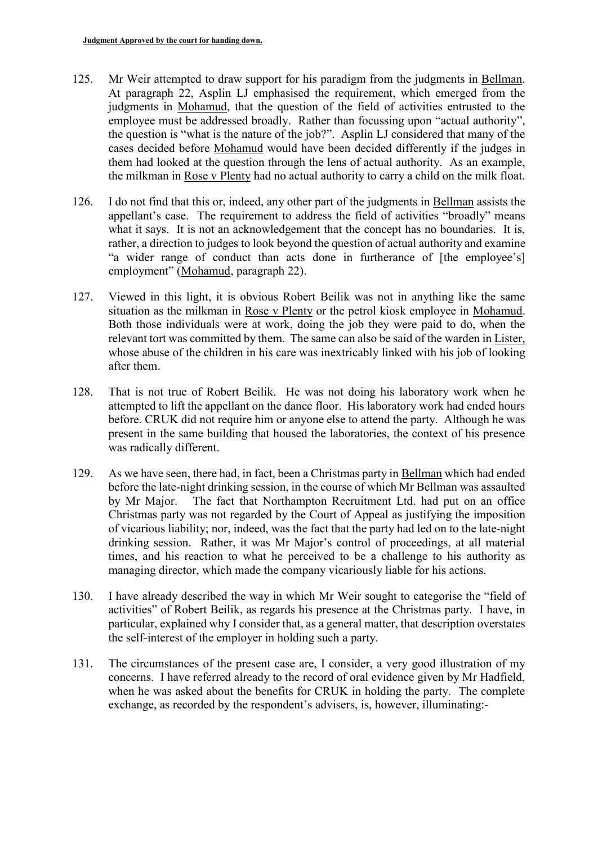- 125. Mr Weir attempted to draw support for his paradigm from the judgments in Bellman. At paragraph 22, Asplin LJ emphasised the requirement, which emerged from the judgments in Mohamud, that the question of the field of activities entrusted to the employee must be addressed broadly. Rather than focussing upon "actual authority", the question is "what is the nature of the job?". Asplin LJ considered that many of the cases decided before Mohamud would have been decided differently if the judges in them had looked at the question through the lens of actual authority. As an example, the milkman in Rose v Plenty had no actual authority to carry a child on the milk float.
- 126. I do not find that this or, indeed, any other part of the judgments in Bellman assists the appellant's case. The requirement to address the field of activities "broadly" means what it says. It is not an acknowledgement that the concept has no boundaries. It is, rather, a direction to judges to look beyond the question of actual authority and examine "a wider range of conduct than acts done in furtherance of [the employee's] employment" (Mohamud, paragraph 22).
- 127. Viewed in this light, it is obvious Robert Beilik was not in anything like the same situation as the milkman in Rose v Plenty or the petrol kiosk employee in Mohamud. Both those individuals were at work, doing the job they were paid to do, when the relevant tort was committed by them. The same can also be said of the warden in Lister, whose abuse of the children in his care was inextricably linked with his job of looking after them.
- 128. That is not true of Robert Beilik. He was not doing his laboratory work when he attempted to lift the appellant on the dance floor. His laboratory work had ended hours before. CRUK did not require him or anyone else to attend the party. Although he was present in the same building that housed the laboratories, the context of his presence was radically different.
- 129. As we have seen, there had, in fact, been a Christmas party in Bellman which had ended before the late-night drinking session, in the course of which Mr Bellman was assaulted by Mr Major. The fact that Northampton Recruitment Ltd. had put on an office Christmas party was not regarded by the Court of Appeal as justifying the imposition of vicarious liability; nor, indeed, was the fact that the party had led on to the late-night drinking session. Rather, it was Mr Major's control of proceedings, at all material times, and his reaction to what he perceived to be a challenge to his authority as managing director, which made the company vicariously liable for his actions.
- 130. I have already described the way in which Mr Weir sought to categorise the "field of activities" of Robert Beilik, as regards his presence at the Christmas party. I have, in particular, explained why I consider that, as a general matter, that description overstates the self-interest of the employer in holding such a party.
- 131. The circumstances of the present case are, I consider, a very good illustration of my concerns. I have referred already to the record of oral evidence given by Mr Hadfield, when he was asked about the benefits for CRUK in holding the party. The complete exchange, as recorded by the respondent's advisers, is, however, illuminating:-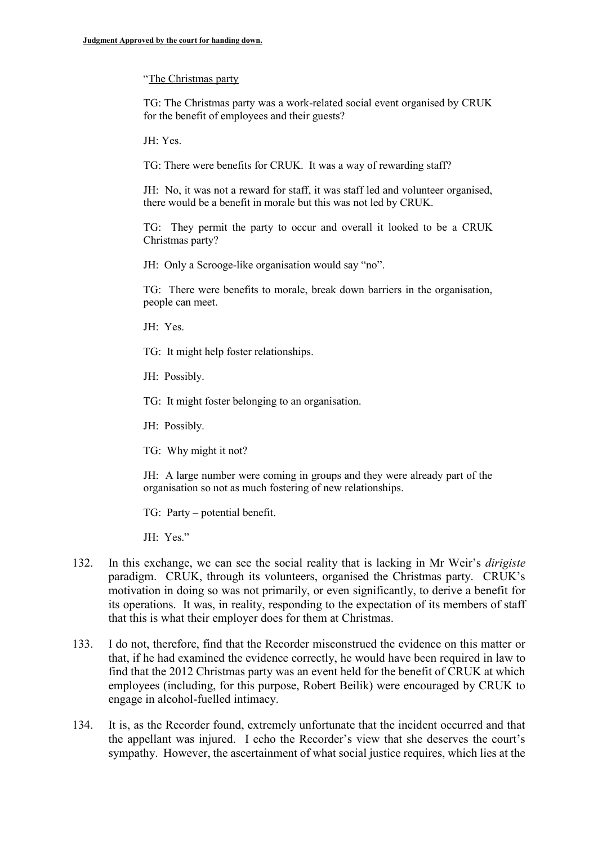#### "The Christmas party

TG: The Christmas party was a work-related social event organised by CRUK for the benefit of employees and their guests?

JH: Yes.

TG: There were benefits for CRUK. It was a way of rewarding staff?

JH: No, it was not a reward for staff, it was staff led and volunteer organised, there would be a benefit in morale but this was not led by CRUK.

TG: They permit the party to occur and overall it looked to be a CRUK Christmas party?

JH: Only a Scrooge-like organisation would say "no".

TG: There were benefits to morale, break down barriers in the organisation, people can meet.

- JH: Yes.
- TG: It might help foster relationships.
- JH: Possibly.
- TG: It might foster belonging to an organisation.
- JH: Possibly.
- TG: Why might it not?

JH: A large number were coming in groups and they were already part of the organisation so not as much fostering of new relationships.

TG: Party – potential benefit.

JH: Yes."

- 132. In this exchange, we can see the social reality that is lacking in Mr Weir's *dirigiste* paradigm. CRUK, through its volunteers, organised the Christmas party. CRUK's motivation in doing so was not primarily, or even significantly, to derive a benefit for its operations. It was, in reality, responding to the expectation of its members of staff that this is what their employer does for them at Christmas.
- 133. I do not, therefore, find that the Recorder misconstrued the evidence on this matter or that, if he had examined the evidence correctly, he would have been required in law to find that the 2012 Christmas party was an event held for the benefit of CRUK at which employees (including, for this purpose, Robert Beilik) were encouraged by CRUK to engage in alcohol-fuelled intimacy.
- 134. It is, as the Recorder found, extremely unfortunate that the incident occurred and that the appellant was injured. I echo the Recorder's view that she deserves the court's sympathy. However, the ascertainment of what social justice requires, which lies at the